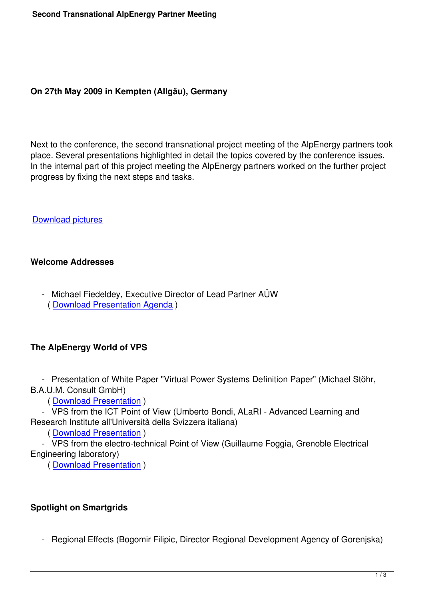## **On 27th May 2009 in Kempten (Allgäu), Germany**

Next to the conference, the second transnational project meeting of the AlpEnergy partners took place. Several presentations highlighted in detail the topics covered by the conference issues. In the internal part of this project meeting the AlpEnergy partners worked on the further project progress by fixing the next steps and tasks.

Download pictures

### **[Welcome Address](images/stories/Events/27_May_2009/Afternoon_Session/Pictures.zip)es**

 - Michael Fiedeldey, Executive Director of Lead Partner AÜW ( Download Presentation Agenda )

# **The [AlpEnergy World of VPS](images/stories/Events/27_May_2009/Morning_session/Agenda.pdf)**

 - Presentation of White Paper "Virtual Power Systems Definition Paper" (Michael Stöhr, B.A.U.M. Consult GmbH)

( Download Presentation )

 - VPS from the ICT Point of View (Umberto Bondi, ALaRI - Advanced Learning and Research Institute all'Università della Svizzera italiana)

( [Download Presentation](images/stories/Events/27_May_2009/Morning_session/Michael_Stoehr_VPS_White_Book_Version.pdf) )

 - VPS from the electro-technical Point of View (Guillaume Foggia, Grenoble Electrical Engineering laboratory)

( [Download Presentation](images/stories/Events/27_May_2009/Morning_session/Umberto_Bondi_VPS_ICT__PointofView.pdf) )

# **Spotl[ight on Smartgrids](images/stories/Events/27_May_2009/Morning_session/G._Foggia_VPS_electrotechnica.pdf)**

- Regional Effects (Bogomir Filipic, Director Regional Development Agency of Gorenjska)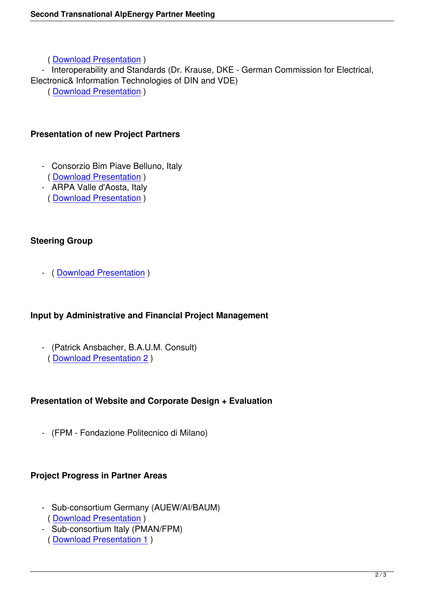( Download Presentation )

- Interoperability and Standards (Dr. Krause, DKE - German Commission for Electrical,

Electronic& Information Technologies of DIN and VDE)

( [Download Presentation](images/stories/Events/27_May_2009/Morning_session/Bogo_Filipic_Regional_Effects.pdf) )

## **Pres[entation of new Project](images/stories/Events/27_May_2009/Morning_session/Wolfram_Krause_Interoperability.pdf) Partners**

- Consorzio Bim Piave Belluno, Italy ( Download Presentation )
- ARPA Valle d'Aosta, Italy ( Download Presentation )

# **Steer[ing Group](images/stories/Events/27_May_2009/Afternoon_Session/Partner_Presentation_AOSTA.pdf)**

- ( Download Presentation )

## **Input [by Administrative and](images/stories/Events/27_May_2009/Afternoon_Session/Presentation_Steering_Group.pdf) Financial Project Management**

- (Patrick Ansbacher, B.A.U.M. Consult)
- ( Download Presentation 2 )

# **Pres[entation of Website and C](images/stories/Events/27_May_2009/Afternoon_Session/Presentation_Input_AM_and_FM.pdf)orporate Design + Evaluation**

- (FPM - Fondazione Politecnico di Milano)

# **Project Progress in Partner Areas**

- Sub-consortium Germany (AUEW/AI/BAUM) ( Download Presentation )
- Sub-consortium Italy (PMAN/FPM) ( Download Presentation 1 )